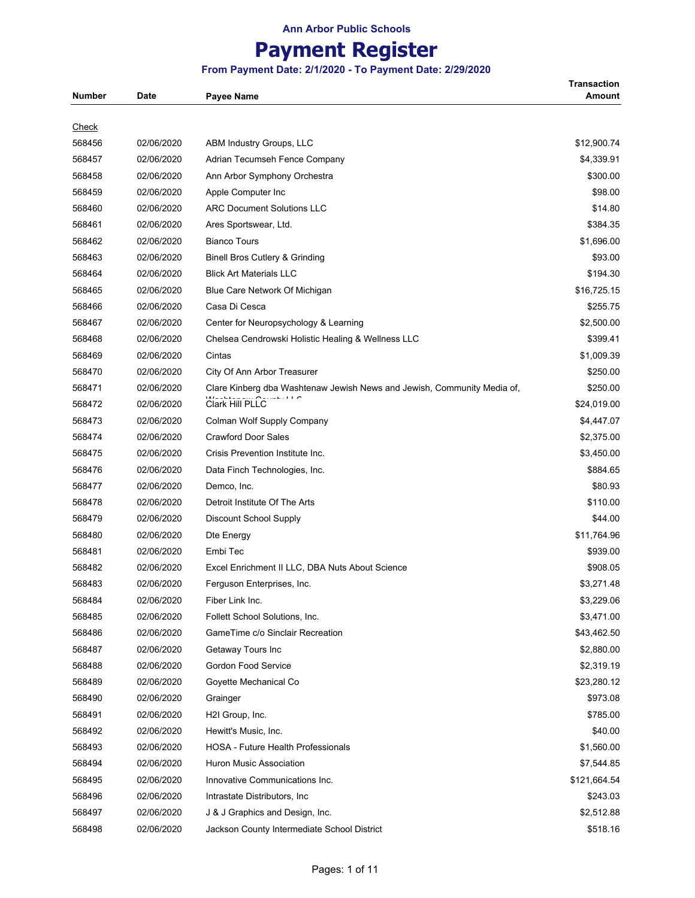## **Payment Register**

#### **From Payment Date: 2/1/2020 - To Payment Date: 2/29/2020**

**Transaction** 

| <b>Number</b> | Date       | <b>Payee Name</b>                                                       | Amount       |
|---------------|------------|-------------------------------------------------------------------------|--------------|
| <u>Check</u>  |            |                                                                         |              |
| 568456        | 02/06/2020 | ABM Industry Groups, LLC                                                | \$12,900.74  |
| 568457        | 02/06/2020 | Adrian Tecumseh Fence Company                                           | \$4,339.91   |
| 568458        | 02/06/2020 | Ann Arbor Symphony Orchestra                                            | \$300.00     |
| 568459        | 02/06/2020 | Apple Computer Inc                                                      | \$98.00      |
| 568460        | 02/06/2020 | <b>ARC Document Solutions LLC</b>                                       | \$14.80      |
|               | 02/06/2020 |                                                                         |              |
| 568461        |            | Ares Sportswear, Ltd.<br><b>Bianco Tours</b>                            | \$384.35     |
| 568462        | 02/06/2020 |                                                                         | \$1,696.00   |
| 568463        | 02/06/2020 | <b>Binell Bros Cutlery &amp; Grinding</b>                               | \$93.00      |
| 568464        | 02/06/2020 | <b>Blick Art Materials LLC</b>                                          | \$194.30     |
| 568465        | 02/06/2020 | Blue Care Network Of Michigan                                           | \$16,725.15  |
| 568466        | 02/06/2020 | Casa Di Cesca                                                           | \$255.75     |
| 568467        | 02/06/2020 | Center for Neuropsychology & Learning                                   | \$2,500.00   |
| 568468        | 02/06/2020 | Chelsea Cendrowski Holistic Healing & Wellness LLC                      | \$399.41     |
| 568469        | 02/06/2020 | Cintas                                                                  | \$1,009.39   |
| 568470        | 02/06/2020 | City Of Ann Arbor Treasurer                                             | \$250.00     |
| 568471        | 02/06/2020 | Clare Kinberg dba Washtenaw Jewish News and Jewish, Community Media of, | \$250.00     |
| 568472        | 02/06/2020 | Clark Hill PLLC                                                         | \$24,019.00  |
| 568473        | 02/06/2020 | Colman Wolf Supply Company                                              | \$4,447.07   |
| 568474        | 02/06/2020 | <b>Crawford Door Sales</b>                                              | \$2,375.00   |
| 568475        | 02/06/2020 | Crisis Prevention Institute Inc.                                        | \$3,450.00   |
| 568476        | 02/06/2020 | Data Finch Technologies, Inc.                                           | \$884.65     |
| 568477        | 02/06/2020 | Demco, Inc.                                                             | \$80.93      |
| 568478        | 02/06/2020 | Detroit Institute Of The Arts                                           | \$110.00     |
| 568479        | 02/06/2020 | Discount School Supply                                                  | \$44.00      |
| 568480        | 02/06/2020 | Dte Energy                                                              | \$11,764.96  |
| 568481        | 02/06/2020 | Embi Tec                                                                | \$939.00     |
| 568482        | 02/06/2020 | Excel Enrichment II LLC, DBA Nuts About Science                         | \$908.05     |
| 568483        | 02/06/2020 | Ferguson Enterprises, Inc.                                              | \$3,271.48   |
| 568484        | 02/06/2020 | Fiber Link Inc.                                                         | \$3,229.06   |
| 568485        | 02/06/2020 | Follett School Solutions, Inc.                                          | \$3,471.00   |
| 568486        | 02/06/2020 | GameTime c/o Sinclair Recreation                                        | \$43,462.50  |
| 568487        | 02/06/2020 | Getaway Tours Inc                                                       | \$2,880.00   |
| 568488        | 02/06/2020 | <b>Gordon Food Service</b>                                              | \$2,319.19   |
| 568489        | 02/06/2020 | Goyette Mechanical Co                                                   | \$23,280.12  |
| 568490        | 02/06/2020 | Grainger                                                                | \$973.08     |
| 568491        | 02/06/2020 | H <sub>2</sub> I Group, Inc.                                            | \$785.00     |
| 568492        | 02/06/2020 | Hewitt's Music, Inc.                                                    | \$40.00      |
| 568493        | 02/06/2020 | <b>HOSA - Future Health Professionals</b>                               | \$1,560.00   |
| 568494        | 02/06/2020 | Huron Music Association                                                 | \$7,544.85   |
| 568495        | 02/06/2020 | Innovative Communications Inc.                                          | \$121,664.54 |
| 568496        | 02/06/2020 | Intrastate Distributors, Inc.                                           | \$243.03     |
| 568497        | 02/06/2020 | J & J Graphics and Design, Inc.                                         | \$2,512.88   |
| 568498        | 02/06/2020 | Jackson County Intermediate School District                             | \$518.16     |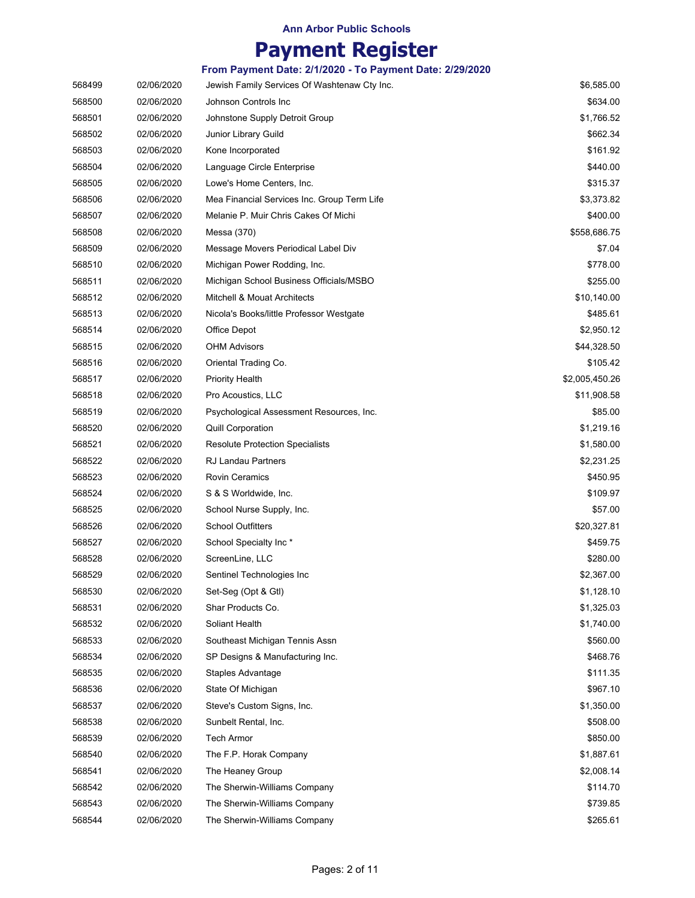|        |            | From Payment Date: 2/1/2020 - To Payment Date: 2/29/2020 |                |
|--------|------------|----------------------------------------------------------|----------------|
| 568499 | 02/06/2020 | Jewish Family Services Of Washtenaw Cty Inc.             | \$6,585.00     |
| 568500 | 02/06/2020 | Johnson Controls Inc                                     | \$634.00       |
| 568501 | 02/06/2020 | Johnstone Supply Detroit Group                           | \$1,766.52     |
| 568502 | 02/06/2020 | Junior Library Guild                                     | \$662.34       |
| 568503 | 02/06/2020 | Kone Incorporated                                        | \$161.92       |
| 568504 | 02/06/2020 | Language Circle Enterprise                               | \$440.00       |
| 568505 | 02/06/2020 | Lowe's Home Centers, Inc.                                | \$315.37       |
| 568506 | 02/06/2020 | Mea Financial Services Inc. Group Term Life              | \$3,373.82     |
| 568507 | 02/06/2020 | Melanie P. Muir Chris Cakes Of Michi                     | \$400.00       |
| 568508 | 02/06/2020 | Messa (370)                                              | \$558,686.75   |
| 568509 | 02/06/2020 | Message Movers Periodical Label Div                      | \$7.04         |
| 568510 | 02/06/2020 | Michigan Power Rodding, Inc.                             | \$778.00       |
| 568511 | 02/06/2020 | Michigan School Business Officials/MSBO                  | \$255.00       |
| 568512 | 02/06/2020 | <b>Mitchell &amp; Mouat Architects</b>                   | \$10,140.00    |
| 568513 | 02/06/2020 | Nicola's Books/little Professor Westgate                 | \$485.61       |
| 568514 | 02/06/2020 | Office Depot                                             | \$2,950.12     |
| 568515 | 02/06/2020 | <b>OHM Advisors</b>                                      | \$44,328.50    |
| 568516 | 02/06/2020 | Oriental Trading Co.                                     | \$105.42       |
| 568517 | 02/06/2020 | Priority Health                                          | \$2,005,450.26 |
| 568518 | 02/06/2020 | Pro Acoustics, LLC                                       | \$11,908.58    |
| 568519 | 02/06/2020 | Psychological Assessment Resources, Inc.                 | \$85.00        |
| 568520 | 02/06/2020 | <b>Quill Corporation</b>                                 | \$1,219.16     |
| 568521 | 02/06/2020 | <b>Resolute Protection Specialists</b>                   | \$1,580.00     |
| 568522 | 02/06/2020 | <b>RJ Landau Partners</b>                                | \$2,231.25     |
| 568523 | 02/06/2020 | <b>Rovin Ceramics</b>                                    | \$450.95       |
| 568524 | 02/06/2020 | S & S Worldwide, Inc.                                    | \$109.97       |
| 568525 | 02/06/2020 | School Nurse Supply, Inc.                                | \$57.00        |
| 568526 | 02/06/2020 | <b>School Outfitters</b>                                 | \$20,327.81    |
| 568527 | 02/06/2020 | School Specialty Inc*                                    | \$459.75       |
| 568528 | 02/06/2020 | ScreenLine, LLC                                          | \$280.00       |
| 568529 | 02/06/2020 | Sentinel Technologies Inc                                | \$2,367.00     |
| 568530 | 02/06/2020 | Set-Seg (Opt & Gtl)                                      | \$1,128.10     |
| 568531 | 02/06/2020 | Shar Products Co.                                        | \$1,325.03     |
| 568532 | 02/06/2020 | Soliant Health                                           | \$1,740.00     |
| 568533 | 02/06/2020 | Southeast Michigan Tennis Assn                           | \$560.00       |
| 568534 | 02/06/2020 | SP Designs & Manufacturing Inc.                          | \$468.76       |
| 568535 | 02/06/2020 | Staples Advantage                                        | \$111.35       |
| 568536 | 02/06/2020 | State Of Michigan                                        | \$967.10       |
| 568537 | 02/06/2020 | Steve's Custom Signs, Inc.                               | \$1,350.00     |
| 568538 | 02/06/2020 | Sunbelt Rental, Inc.                                     | \$508.00       |
| 568539 | 02/06/2020 | Tech Armor                                               | \$850.00       |
| 568540 | 02/06/2020 | The F.P. Horak Company                                   | \$1,887.61     |
| 568541 | 02/06/2020 | The Heaney Group                                         | \$2,008.14     |
| 568542 | 02/06/2020 | The Sherwin-Williams Company                             | \$114.70       |
| 568543 | 02/06/2020 | The Sherwin-Williams Company                             | \$739.85       |
| 568544 | 02/06/2020 | The Sherwin-Williams Company                             | \$265.61       |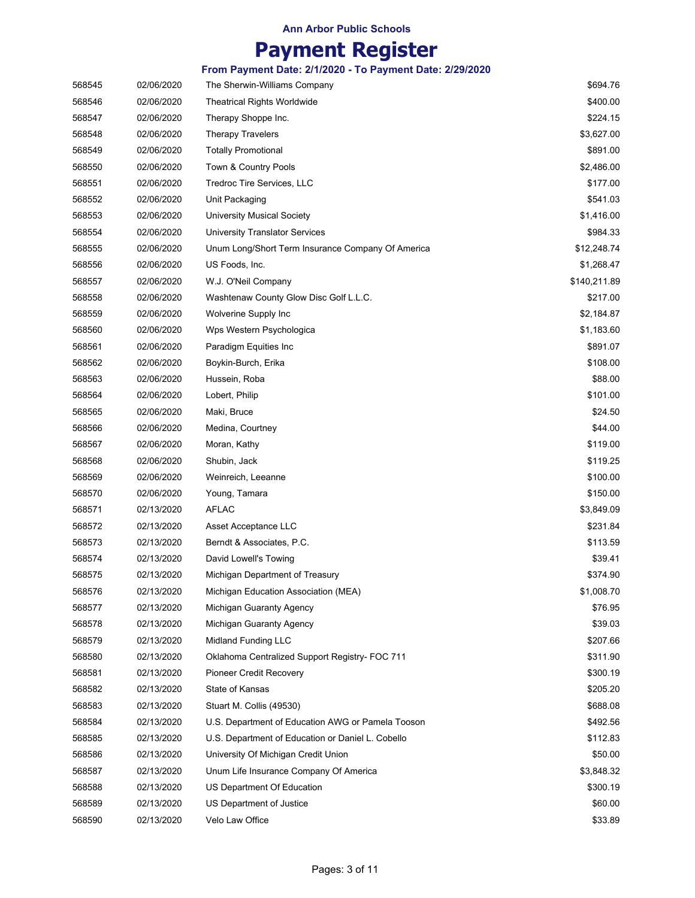| 568545 | 02/06/2020 | The Sherwin-Williams Company                      | \$694.76     |
|--------|------------|---------------------------------------------------|--------------|
| 568546 | 02/06/2020 | <b>Theatrical Rights Worldwide</b>                | \$400.00     |
| 568547 | 02/06/2020 | Therapy Shoppe Inc.                               | \$224.15     |
| 568548 | 02/06/2020 | <b>Therapy Travelers</b>                          | \$3,627.00   |
| 568549 | 02/06/2020 | <b>Totally Promotional</b>                        | \$891.00     |
| 568550 | 02/06/2020 | Town & Country Pools                              | \$2,486.00   |
| 568551 | 02/06/2020 | Tredroc Tire Services, LLC                        | \$177.00     |
| 568552 | 02/06/2020 | Unit Packaging                                    | \$541.03     |
| 568553 | 02/06/2020 | <b>University Musical Society</b>                 | \$1,416.00   |
| 568554 | 02/06/2020 | University Translator Services                    | \$984.33     |
| 568555 | 02/06/2020 | Unum Long/Short Term Insurance Company Of America | \$12,248.74  |
| 568556 | 02/06/2020 | US Foods, Inc.                                    | \$1,268.47   |
| 568557 | 02/06/2020 | W.J. O'Neil Company                               | \$140,211.89 |
| 568558 | 02/06/2020 | Washtenaw County Glow Disc Golf L.L.C.            | \$217.00     |
| 568559 | 02/06/2020 | Wolverine Supply Inc                              | \$2,184.87   |
| 568560 | 02/06/2020 | Wps Western Psychologica                          | \$1,183.60   |
| 568561 | 02/06/2020 | Paradigm Equities Inc.                            | \$891.07     |
| 568562 | 02/06/2020 | Boykin-Burch, Erika                               | \$108.00     |
| 568563 | 02/06/2020 | Hussein, Roba                                     | \$88.00      |
| 568564 | 02/06/2020 | Lobert, Philip                                    | \$101.00     |
| 568565 | 02/06/2020 | Maki, Bruce                                       | \$24.50      |
| 568566 | 02/06/2020 | Medina, Courtney                                  | \$44.00      |
| 568567 | 02/06/2020 | Moran, Kathy                                      | \$119.00     |
| 568568 | 02/06/2020 | Shubin, Jack                                      | \$119.25     |
| 568569 | 02/06/2020 | Weinreich, Leeanne                                | \$100.00     |
| 568570 | 02/06/2020 | Young, Tamara                                     | \$150.00     |
| 568571 | 02/13/2020 | <b>AFLAC</b>                                      | \$3,849.09   |
| 568572 | 02/13/2020 | Asset Acceptance LLC                              | \$231.84     |
| 568573 | 02/13/2020 | Berndt & Associates, P.C.                         | \$113.59     |
| 568574 | 02/13/2020 | David Lowell's Towing                             | \$39.41      |
| 568575 | 02/13/2020 | Michigan Department of Treasury                   | \$374.90     |
| 568576 | 02/13/2020 | Michigan Education Association (MEA)              | \$1,008.70   |
| 568577 | 02/13/2020 | Michigan Guaranty Agency                          | \$76.95      |
| 568578 | 02/13/2020 | Michigan Guaranty Agency                          | \$39.03      |
| 568579 | 02/13/2020 | <b>Midland Funding LLC</b>                        | \$207.66     |
| 568580 | 02/13/2020 | Oklahoma Centralized Support Registry- FOC 711    | \$311.90     |
| 568581 | 02/13/2020 | Pioneer Credit Recovery                           | \$300.19     |
| 568582 | 02/13/2020 | State of Kansas                                   | \$205.20     |
| 568583 | 02/13/2020 | Stuart M. Collis (49530)                          | \$688.08     |
| 568584 | 02/13/2020 | U.S. Department of Education AWG or Pamela Tooson | \$492.56     |
| 568585 | 02/13/2020 | U.S. Department of Education or Daniel L. Cobello | \$112.83     |
| 568586 | 02/13/2020 | University Of Michigan Credit Union               | \$50.00      |
| 568587 | 02/13/2020 | Unum Life Insurance Company Of America            | \$3,848.32   |
| 568588 | 02/13/2020 | US Department Of Education                        | \$300.19     |
| 568589 | 02/13/2020 | US Department of Justice                          | \$60.00      |
| 568590 | 02/13/2020 | Velo Law Office                                   | \$33.89      |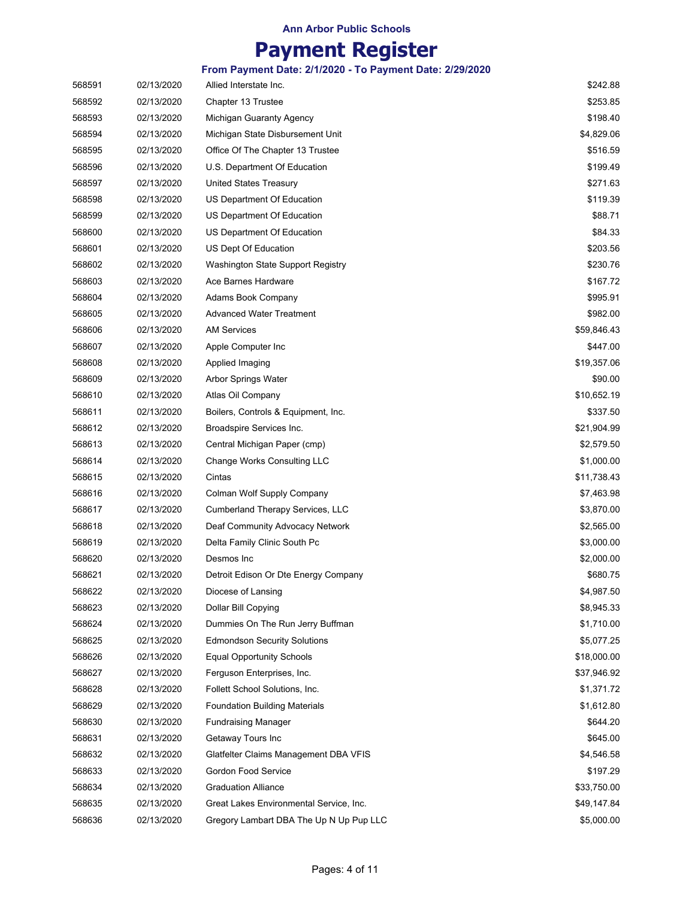### **Payment Register**

| 568591 | 02/13/2020 | Allied Interstate Inc.                  | \$242.88    |
|--------|------------|-----------------------------------------|-------------|
| 568592 | 02/13/2020 | Chapter 13 Trustee                      | \$253.85    |
| 568593 | 02/13/2020 | Michigan Guaranty Agency                | \$198.40    |
| 568594 | 02/13/2020 | Michigan State Disbursement Unit        | \$4,829.06  |
| 568595 | 02/13/2020 | Office Of The Chapter 13 Trustee        | \$516.59    |
| 568596 | 02/13/2020 | U.S. Department Of Education            | \$199.49    |
| 568597 | 02/13/2020 | United States Treasury                  | \$271.63    |
| 568598 | 02/13/2020 | US Department Of Education              | \$119.39    |
| 568599 | 02/13/2020 | US Department Of Education              | \$88.71     |
| 568600 | 02/13/2020 | US Department Of Education              | \$84.33     |
| 568601 | 02/13/2020 | US Dept Of Education                    | \$203.56    |
| 568602 | 02/13/2020 | Washington State Support Registry       | \$230.76    |
| 568603 | 02/13/2020 | Ace Barnes Hardware                     | \$167.72    |
| 568604 | 02/13/2020 | Adams Book Company                      | \$995.91    |
| 568605 | 02/13/2020 | <b>Advanced Water Treatment</b>         | \$982.00    |
| 568606 | 02/13/2020 | <b>AM Services</b>                      | \$59,846.43 |
| 568607 | 02/13/2020 | Apple Computer Inc                      | \$447.00    |
| 568608 | 02/13/2020 | Applied Imaging                         | \$19,357.06 |
| 568609 | 02/13/2020 | <b>Arbor Springs Water</b>              | \$90.00     |
| 568610 | 02/13/2020 | Atlas Oil Company                       | \$10,652.19 |
| 568611 | 02/13/2020 | Boilers, Controls & Equipment, Inc.     | \$337.50    |
| 568612 | 02/13/2020 | Broadspire Services Inc.                | \$21,904.99 |
| 568613 | 02/13/2020 | Central Michigan Paper (cmp)            | \$2,579.50  |
| 568614 | 02/13/2020 | Change Works Consulting LLC             | \$1,000.00  |
| 568615 | 02/13/2020 | Cintas                                  | \$11,738.43 |
| 568616 | 02/13/2020 | Colman Wolf Supply Company              | \$7,463.98  |
| 568617 | 02/13/2020 | Cumberland Therapy Services, LLC        | \$3,870.00  |
| 568618 | 02/13/2020 | Deaf Community Advocacy Network         | \$2,565.00  |
| 568619 | 02/13/2020 | Delta Family Clinic South Pc            | \$3,000.00  |
| 568620 | 02/13/2020 | Desmos Inc                              | \$2,000.00  |
| 568621 | 02/13/2020 | Detroit Edison Or Dte Energy Company    | \$680.75    |
| 568622 | 02/13/2020 | Diocese of Lansing                      | \$4,987.50  |
| 568623 | 02/13/2020 | Dollar Bill Copying                     | \$8,945.33  |
| 568624 | 02/13/2020 | Dummies On The Run Jerry Buffman        | \$1,710.00  |
| 568625 | 02/13/2020 | <b>Edmondson Security Solutions</b>     | \$5,077.25  |
| 568626 | 02/13/2020 | <b>Equal Opportunity Schools</b>        | \$18,000.00 |
| 568627 | 02/13/2020 | Ferguson Enterprises, Inc.              | \$37,946.92 |
| 568628 | 02/13/2020 | Follett School Solutions, Inc.          | \$1,371.72  |
| 568629 | 02/13/2020 | <b>Foundation Building Materials</b>    | \$1,612.80  |
| 568630 | 02/13/2020 | <b>Fundraising Manager</b>              | \$644.20    |
| 568631 | 02/13/2020 | Getaway Tours Inc                       | \$645.00    |
| 568632 | 02/13/2020 | Glatfelter Claims Management DBA VFIS   | \$4,546.58  |
| 568633 | 02/13/2020 | Gordon Food Service                     | \$197.29    |
| 568634 | 02/13/2020 | <b>Graduation Alliance</b>              | \$33,750.00 |
| 568635 | 02/13/2020 | Great Lakes Environmental Service, Inc. | \$49,147.84 |
| 568636 | 02/13/2020 | Gregory Lambart DBA The Up N Up Pup LLC | \$5,000.00  |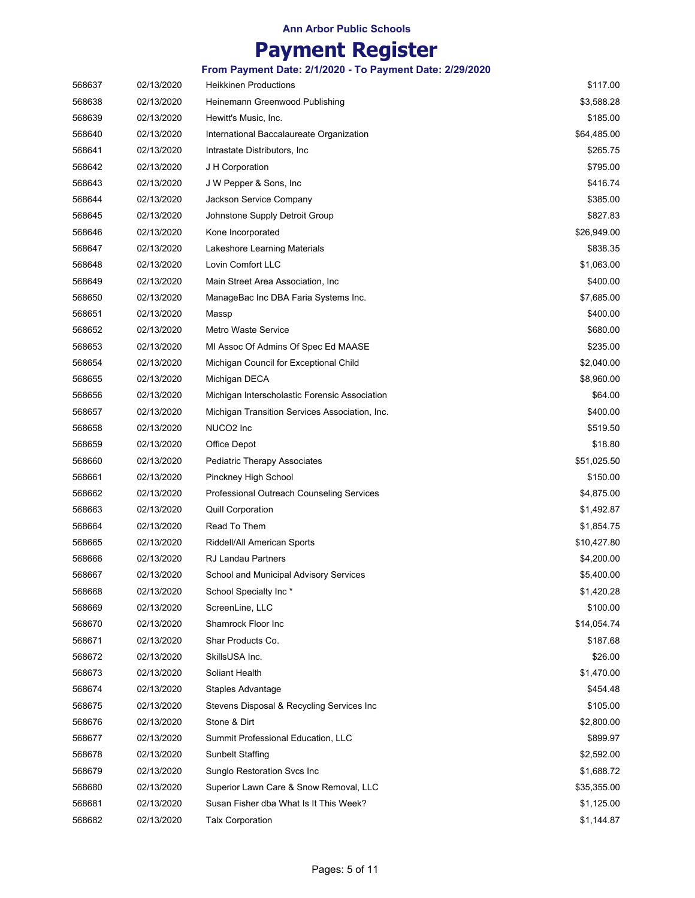|  |  |  | From Payment Date: 2/1/2020 - To Payment Date: 2/29/2020 |
|--|--|--|----------------------------------------------------------|
|--|--|--|----------------------------------------------------------|

| 568637 | 02/13/2020 | <b>Heikkinen Productions</b>                   | \$117.00    |
|--------|------------|------------------------------------------------|-------------|
| 568638 | 02/13/2020 | Heinemann Greenwood Publishing                 | \$3,588.28  |
| 568639 | 02/13/2020 | Hewitt's Music, Inc.                           | \$185.00    |
| 568640 | 02/13/2020 | International Baccalaureate Organization       | \$64,485.00 |
| 568641 | 02/13/2020 | Intrastate Distributors, Inc.                  | \$265.75    |
| 568642 | 02/13/2020 | J H Corporation                                | \$795.00    |
| 568643 | 02/13/2020 | J W Pepper & Sons, Inc.                        | \$416.74    |
| 568644 | 02/13/2020 | Jackson Service Company                        | \$385.00    |
| 568645 | 02/13/2020 | Johnstone Supply Detroit Group                 | \$827.83    |
| 568646 | 02/13/2020 | Kone Incorporated                              | \$26,949.00 |
| 568647 | 02/13/2020 | Lakeshore Learning Materials                   | \$838.35    |
| 568648 | 02/13/2020 | Lovin Comfort LLC                              | \$1,063.00  |
| 568649 | 02/13/2020 | Main Street Area Association, Inc              | \$400.00    |
| 568650 | 02/13/2020 | ManageBac Inc DBA Faria Systems Inc.           | \$7,685.00  |
| 568651 | 02/13/2020 | Massp                                          | \$400.00    |
| 568652 | 02/13/2020 | <b>Metro Waste Service</b>                     | \$680.00    |
| 568653 | 02/13/2020 | MI Assoc Of Admins Of Spec Ed MAASE            | \$235.00    |
| 568654 | 02/13/2020 | Michigan Council for Exceptional Child         | \$2,040.00  |
| 568655 | 02/13/2020 | Michigan DECA                                  | \$8,960.00  |
| 568656 | 02/13/2020 | Michigan Interscholastic Forensic Association  | \$64.00     |
| 568657 | 02/13/2020 | Michigan Transition Services Association, Inc. | \$400.00    |
| 568658 | 02/13/2020 | NUCO2 Inc                                      | \$519.50    |
| 568659 | 02/13/2020 | Office Depot                                   | \$18.80     |
| 568660 | 02/13/2020 | Pediatric Therapy Associates                   | \$51,025.50 |
| 568661 | 02/13/2020 | Pinckney High School                           | \$150.00    |
| 568662 | 02/13/2020 | Professional Outreach Counseling Services      | \$4,875.00  |
| 568663 | 02/13/2020 | <b>Quill Corporation</b>                       | \$1,492.87  |
| 568664 | 02/13/2020 | Read To Them                                   | \$1,854.75  |
| 568665 | 02/13/2020 | Riddell/All American Sports                    | \$10,427.80 |
| 568666 | 02/13/2020 | <b>RJ Landau Partners</b>                      | \$4,200.00  |
| 568667 | 02/13/2020 | School and Municipal Advisory Services         | \$5,400.00  |
| 568668 | 02/13/2020 | School Specialty Inc*                          | \$1,420.28  |
| 568669 | 02/13/2020 | ScreenLine, LLC                                | \$100.00    |
| 568670 | 02/13/2020 | Shamrock Floor Inc                             | \$14,054.74 |
| 568671 | 02/13/2020 | Shar Products Co.                              | \$187.68    |
| 568672 | 02/13/2020 | SkillsUSA Inc.                                 | \$26.00     |
| 568673 | 02/13/2020 | Soliant Health                                 | \$1,470.00  |
| 568674 | 02/13/2020 | Staples Advantage                              | \$454.48    |
| 568675 | 02/13/2020 | Stevens Disposal & Recycling Services Inc      | \$105.00    |
| 568676 | 02/13/2020 | Stone & Dirt                                   | \$2,800.00  |
| 568677 | 02/13/2020 | Summit Professional Education, LLC             | \$899.97    |
| 568678 | 02/13/2020 | <b>Sunbelt Staffing</b>                        | \$2,592.00  |
| 568679 | 02/13/2020 | Sunglo Restoration Svcs Inc                    | \$1,688.72  |
| 568680 | 02/13/2020 | Superior Lawn Care & Snow Removal, LLC         | \$35,355.00 |
| 568681 | 02/13/2020 | Susan Fisher dba What Is It This Week?         | \$1,125.00  |
| 568682 | 02/13/2020 | <b>Talx Corporation</b>                        | \$1,144.87  |
|        |            |                                                |             |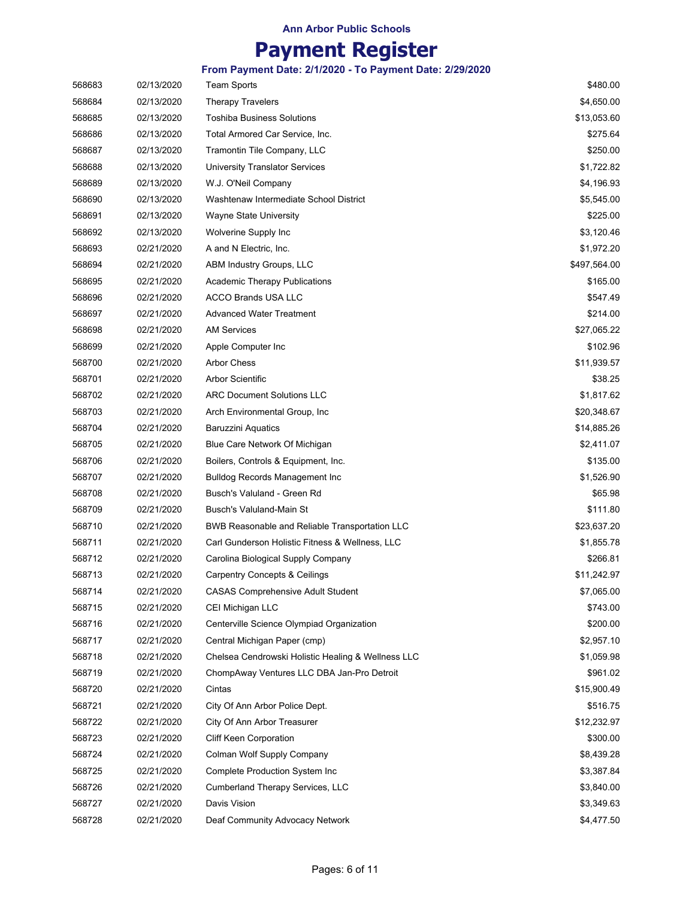| 568683 | 02/13/2020 | <b>Team Sports</b>                                 | \$480.00     |
|--------|------------|----------------------------------------------------|--------------|
| 568684 | 02/13/2020 | <b>Therapy Travelers</b>                           | \$4,650.00   |
| 568685 | 02/13/2020 | Toshiba Business Solutions                         | \$13,053.60  |
| 568686 | 02/13/2020 | Total Armored Car Service, Inc.                    | \$275.64     |
| 568687 | 02/13/2020 | Tramontin Tile Company, LLC                        | \$250.00     |
| 568688 | 02/13/2020 | <b>University Translator Services</b>              | \$1,722.82   |
| 568689 | 02/13/2020 | W.J. O'Neil Company                                | \$4,196.93   |
| 568690 | 02/13/2020 | Washtenaw Intermediate School District             | \$5,545.00   |
| 568691 | 02/13/2020 | <b>Wayne State University</b>                      | \$225.00     |
| 568692 | 02/13/2020 | Wolverine Supply Inc                               | \$3,120.46   |
| 568693 | 02/21/2020 | A and N Electric, Inc.                             | \$1,972.20   |
| 568694 | 02/21/2020 | ABM Industry Groups, LLC                           | \$497,564.00 |
| 568695 | 02/21/2020 | <b>Academic Therapy Publications</b>               | \$165.00     |
| 568696 | 02/21/2020 | <b>ACCO Brands USA LLC</b>                         | \$547.49     |
| 568697 | 02/21/2020 | <b>Advanced Water Treatment</b>                    | \$214.00     |
| 568698 | 02/21/2020 | <b>AM Services</b>                                 | \$27,065.22  |
| 568699 | 02/21/2020 | Apple Computer Inc                                 | \$102.96     |
| 568700 | 02/21/2020 | <b>Arbor Chess</b>                                 | \$11,939.57  |
| 568701 | 02/21/2020 | <b>Arbor Scientific</b>                            | \$38.25      |
| 568702 | 02/21/2020 | <b>ARC Document Solutions LLC</b>                  | \$1,817.62   |
| 568703 | 02/21/2020 | Arch Environmental Group, Inc.                     | \$20,348.67  |
| 568704 | 02/21/2020 | Baruzzini Aquatics                                 | \$14,885.26  |
| 568705 | 02/21/2020 | Blue Care Network Of Michigan                      | \$2,411.07   |
| 568706 | 02/21/2020 | Boilers, Controls & Equipment, Inc.                | \$135.00     |
| 568707 | 02/21/2020 | Bulldog Records Management Inc                     | \$1,526.90   |
| 568708 | 02/21/2020 | Busch's Valuland - Green Rd                        | \$65.98      |
| 568709 | 02/21/2020 | Busch's Valuland-Main St                           | \$111.80     |
| 568710 | 02/21/2020 | BWB Reasonable and Reliable Transportation LLC     | \$23,637.20  |
| 568711 | 02/21/2020 | Carl Gunderson Holistic Fitness & Wellness, LLC    | \$1,855.78   |
| 568712 | 02/21/2020 | Carolina Biological Supply Company                 | \$266.81     |
| 568713 | 02/21/2020 | <b>Carpentry Concepts &amp; Ceilings</b>           | \$11,242.97  |
| 568714 | 02/21/2020 | <b>CASAS Comprehensive Adult Student</b>           | \$7,065.00   |
| 568715 | 02/21/2020 | CEI Michigan LLC                                   | \$743.00     |
| 568716 | 02/21/2020 | Centerville Science Olympiad Organization          | \$200.00     |
| 568717 | 02/21/2020 | Central Michigan Paper (cmp)                       | \$2,957.10   |
| 568718 | 02/21/2020 | Chelsea Cendrowski Holistic Healing & Wellness LLC | \$1,059.98   |
| 568719 | 02/21/2020 | ChompAway Ventures LLC DBA Jan-Pro Detroit         | \$961.02     |
| 568720 | 02/21/2020 | Cintas                                             | \$15,900.49  |
| 568721 | 02/21/2020 | City Of Ann Arbor Police Dept.                     | \$516.75     |
| 568722 | 02/21/2020 | City Of Ann Arbor Treasurer                        | \$12,232.97  |
| 568723 | 02/21/2020 | <b>Cliff Keen Corporation</b>                      | \$300.00     |
| 568724 | 02/21/2020 | Colman Wolf Supply Company                         | \$8,439.28   |
| 568725 | 02/21/2020 | Complete Production System Inc                     | \$3,387.84   |
| 568726 | 02/21/2020 | Cumberland Therapy Services, LLC                   | \$3,840.00   |
| 568727 | 02/21/2020 | Davis Vision                                       | \$3,349.63   |
| 568728 | 02/21/2020 | Deaf Community Advocacy Network                    | \$4,477.50   |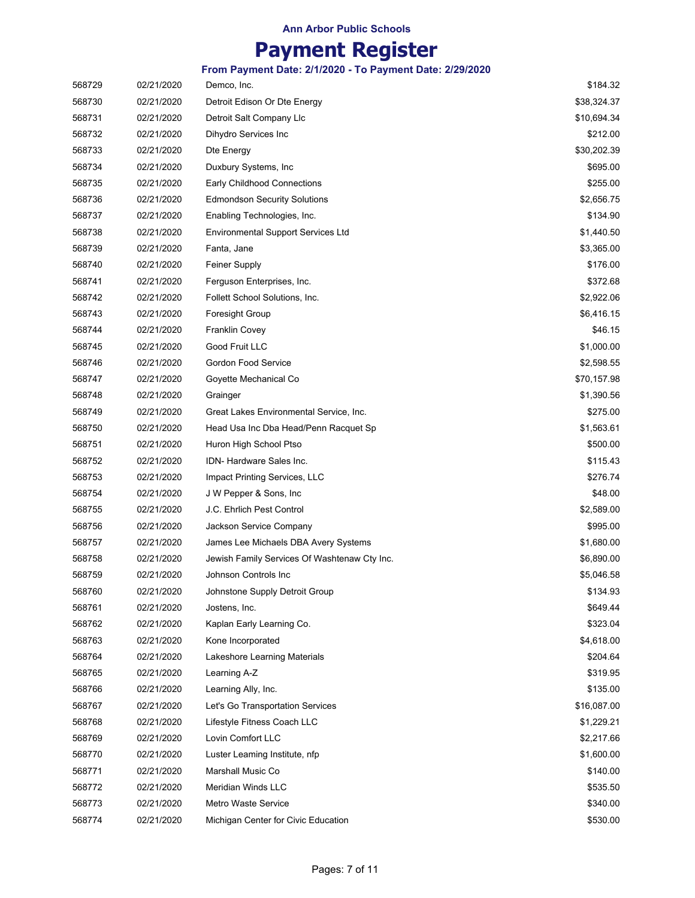| 568729 | 02/21/2020 | Demco, Inc.                                  | \$184.32    |
|--------|------------|----------------------------------------------|-------------|
| 568730 | 02/21/2020 | Detroit Edison Or Dte Energy                 | \$38,324.37 |
| 568731 | 02/21/2020 | Detroit Salt Company Llc                     | \$10,694.34 |
| 568732 | 02/21/2020 | Dihydro Services Inc                         | \$212.00    |
| 568733 | 02/21/2020 | Dte Energy                                   | \$30,202.39 |
| 568734 | 02/21/2020 | Duxbury Systems, Inc                         | \$695.00    |
| 568735 | 02/21/2020 | Early Childhood Connections                  | \$255.00    |
| 568736 | 02/21/2020 | <b>Edmondson Security Solutions</b>          | \$2,656.75  |
| 568737 | 02/21/2020 | Enabling Technologies, Inc.                  | \$134.90    |
| 568738 | 02/21/2020 | <b>Environmental Support Services Ltd</b>    | \$1,440.50  |
| 568739 | 02/21/2020 | Fanta, Jane                                  | \$3,365.00  |
| 568740 | 02/21/2020 | Feiner Supply                                | \$176.00    |
| 568741 | 02/21/2020 | Ferguson Enterprises, Inc.                   | \$372.68    |
| 568742 | 02/21/2020 | Follett School Solutions, Inc.               | \$2,922.06  |
| 568743 | 02/21/2020 | <b>Foresight Group</b>                       | \$6,416.15  |
| 568744 | 02/21/2020 | <b>Franklin Covey</b>                        | \$46.15     |
| 568745 | 02/21/2020 | Good Fruit LLC                               | \$1,000.00  |
| 568746 | 02/21/2020 | <b>Gordon Food Service</b>                   | \$2,598.55  |
| 568747 | 02/21/2020 | Goyette Mechanical Co                        | \$70,157.98 |
| 568748 | 02/21/2020 | Grainger                                     | \$1,390.56  |
| 568749 | 02/21/2020 | Great Lakes Environmental Service, Inc.      | \$275.00    |
| 568750 | 02/21/2020 | Head Usa Inc Dba Head/Penn Racquet Sp        | \$1,563.61  |
| 568751 | 02/21/2020 | Huron High School Ptso                       | \$500.00    |
| 568752 | 02/21/2020 | IDN- Hardware Sales Inc.                     | \$115.43    |
| 568753 | 02/21/2020 | Impact Printing Services, LLC                | \$276.74    |
| 568754 | 02/21/2020 | J W Pepper & Sons, Inc.                      | \$48.00     |
| 568755 | 02/21/2020 | J.C. Ehrlich Pest Control                    | \$2,589.00  |
| 568756 | 02/21/2020 | Jackson Service Company                      | \$995.00    |
| 568757 | 02/21/2020 | James Lee Michaels DBA Avery Systems         | \$1,680.00  |
| 568758 | 02/21/2020 | Jewish Family Services Of Washtenaw Cty Inc. | \$6,890.00  |
| 568759 | 02/21/2020 | Johnson Controls Inc                         | \$5,046.58  |
| 568760 | 02/21/2020 | Johnstone Supply Detroit Group               | \$134.93    |
| 568761 | 02/21/2020 | Jostens, Inc.                                | \$649.44    |
| 568762 | 02/21/2020 | Kaplan Early Learning Co.                    | \$323.04    |
| 568763 | 02/21/2020 | Kone Incorporated                            | \$4,618.00  |
| 568764 | 02/21/2020 | Lakeshore Learning Materials                 | \$204.64    |
| 568765 | 02/21/2020 | Learning A-Z                                 | \$319.95    |
| 568766 | 02/21/2020 | Learning Ally, Inc.                          | \$135.00    |
| 568767 | 02/21/2020 | Let's Go Transportation Services             | \$16,087.00 |
| 568768 | 02/21/2020 | Lifestyle Fitness Coach LLC                  | \$1,229.21  |
| 568769 | 02/21/2020 | Lovin Comfort LLC                            | \$2,217.66  |
| 568770 | 02/21/2020 | Luster Leaming Institute, nfp                | \$1,600.00  |
| 568771 | 02/21/2020 | Marshall Music Co                            | \$140.00    |
| 568772 | 02/21/2020 | <b>Meridian Winds LLC</b>                    | \$535.50    |
| 568773 | 02/21/2020 | <b>Metro Waste Service</b>                   | \$340.00    |
| 568774 | 02/21/2020 | Michigan Center for Civic Education          | \$530.00    |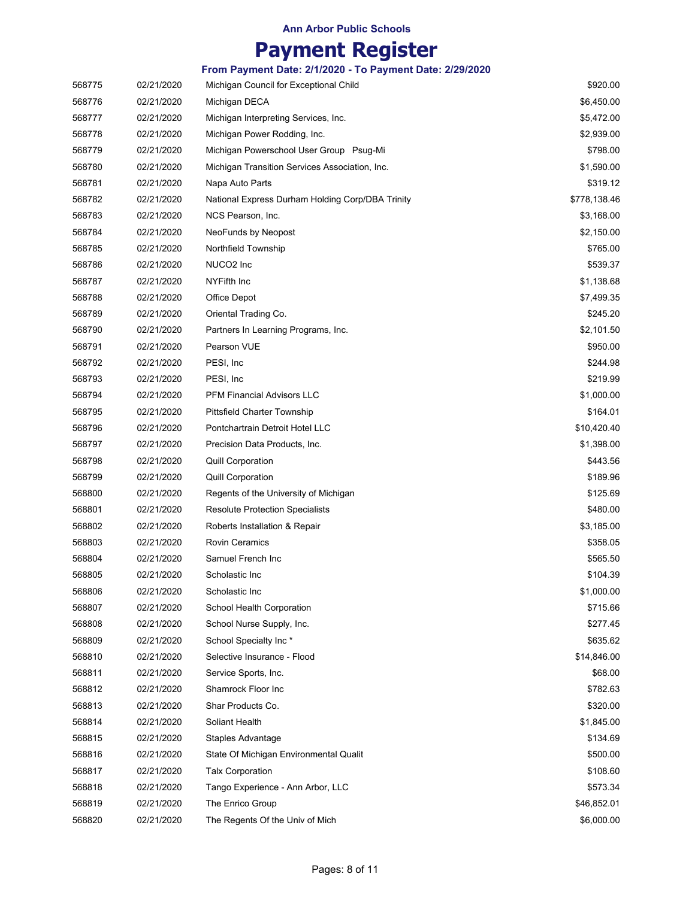|        |            | From Payment Date: 2/1/2020 - To Payment Date: 2/29/2020 |              |
|--------|------------|----------------------------------------------------------|--------------|
| 568775 | 02/21/2020 | Michigan Council for Exceptional Child                   | \$920.00     |
| 568776 | 02/21/2020 | Michigan DECA                                            | \$6,450.00   |
| 568777 | 02/21/2020 | Michigan Interpreting Services, Inc.                     | \$5,472.00   |
| 568778 | 02/21/2020 | Michigan Power Rodding, Inc.                             | \$2,939.00   |
| 568779 | 02/21/2020 | Michigan Powerschool User Group Psug-Mi                  | \$798.00     |
| 568780 | 02/21/2020 | Michigan Transition Services Association, Inc.           | \$1,590.00   |
| 568781 | 02/21/2020 | Napa Auto Parts                                          | \$319.12     |
| 568782 | 02/21/2020 | National Express Durham Holding Corp/DBA Trinity         | \$778,138.46 |
| 568783 | 02/21/2020 | NCS Pearson, Inc.                                        | \$3,168.00   |
| 568784 | 02/21/2020 | NeoFunds by Neopost                                      | \$2,150.00   |
| 568785 | 02/21/2020 | Northfield Township                                      | \$765.00     |
| 568786 | 02/21/2020 | NUCO2 Inc                                                | \$539.37     |
| 568787 | 02/21/2020 | NYFifth Inc                                              | \$1,138.68   |
| 568788 | 02/21/2020 | Office Depot                                             | \$7,499.35   |
| 568789 | 02/21/2020 | Oriental Trading Co.                                     | \$245.20     |
| 568790 | 02/21/2020 | Partners In Learning Programs, Inc.                      | \$2,101.50   |
| 568791 | 02/21/2020 | Pearson VUE                                              | \$950.00     |
| 568792 | 02/21/2020 | PESI, Inc.                                               | \$244.98     |
| 568793 | 02/21/2020 | PESI, Inc                                                | \$219.99     |
| 568794 | 02/21/2020 | <b>PFM Financial Advisors LLC</b>                        | \$1,000.00   |
| 568795 | 02/21/2020 | <b>Pittsfield Charter Township</b>                       | \$164.01     |
| 568796 | 02/21/2020 | Pontchartrain Detroit Hotel LLC                          | \$10,420.40  |
| 568797 | 02/21/2020 | Precision Data Products, Inc.                            | \$1,398.00   |
| 568798 | 02/21/2020 | <b>Quill Corporation</b>                                 | \$443.56     |
| 568799 | 02/21/2020 | <b>Quill Corporation</b>                                 | \$189.96     |
| 568800 | 02/21/2020 | Regents of the University of Michigan                    | \$125.69     |
| 568801 | 02/21/2020 | <b>Resolute Protection Specialists</b>                   | \$480.00     |
| 568802 | 02/21/2020 | Roberts Installation & Repair                            | \$3,185.00   |
| 568803 | 02/21/2020 | <b>Rovin Ceramics</b>                                    | \$358.05     |
| 568804 | 02/21/2020 | Samuel French Inc                                        | \$565.50     |
| 568805 | 02/21/2020 | Scholastic Inc                                           | \$104.39     |
| 568806 | 02/21/2020 | Scholastic Inc                                           | \$1,000.00   |
| 568807 | 02/21/2020 | School Health Corporation                                | \$715.66     |
| 568808 | 02/21/2020 | School Nurse Supply, Inc.                                | \$277.45     |
| 568809 | 02/21/2020 | School Specialty Inc*                                    | \$635.62     |
| 568810 | 02/21/2020 | Selective Insurance - Flood                              | \$14,846.00  |
| 568811 | 02/21/2020 | Service Sports, Inc.                                     | \$68.00      |
| 568812 | 02/21/2020 | Shamrock Floor Inc                                       | \$782.63     |
| 568813 | 02/21/2020 | Shar Products Co.                                        | \$320.00     |
| 568814 | 02/21/2020 | Soliant Health                                           | \$1,845.00   |
| 568815 | 02/21/2020 | Staples Advantage                                        | \$134.69     |
| 568816 | 02/21/2020 | State Of Michigan Environmental Qualit                   | \$500.00     |
| 568817 | 02/21/2020 | <b>Talx Corporation</b>                                  | \$108.60     |
| 568818 | 02/21/2020 | Tango Experience - Ann Arbor, LLC                        | \$573.34     |
| 568819 | 02/21/2020 | The Enrico Group                                         | \$46,852.01  |
| 568820 | 02/21/2020 | The Regents Of the Univ of Mich                          | \$6,000.00   |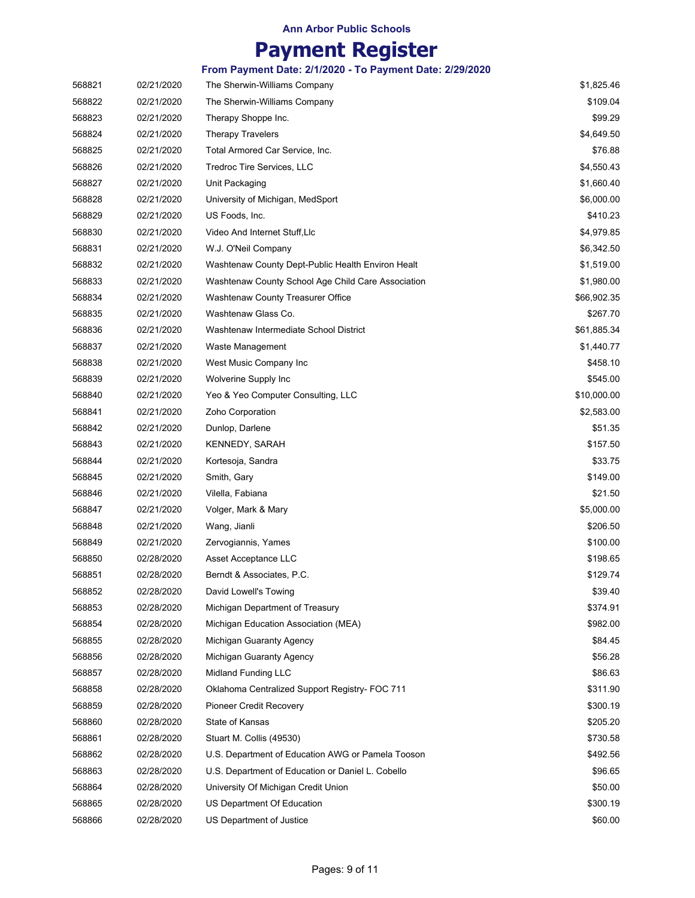### **Payment Register**

| 568821 | 02/21/2020 | The Sherwin-Williams Company                       | \$1,825.46  |
|--------|------------|----------------------------------------------------|-------------|
| 568822 | 02/21/2020 | The Sherwin-Williams Company                       | \$109.04    |
| 568823 | 02/21/2020 | Therapy Shoppe Inc.                                | \$99.29     |
| 568824 | 02/21/2020 | <b>Therapy Travelers</b>                           | \$4,649.50  |
| 568825 | 02/21/2020 | Total Armored Car Service, Inc.                    | \$76.88     |
| 568826 | 02/21/2020 | Tredroc Tire Services, LLC                         | \$4,550.43  |
| 568827 | 02/21/2020 | Unit Packaging                                     | \$1,660.40  |
| 568828 | 02/21/2020 | University of Michigan, MedSport                   | \$6,000.00  |
| 568829 | 02/21/2020 | US Foods, Inc.                                     | \$410.23    |
| 568830 | 02/21/2020 | Video And Internet Stuff, Llc                      | \$4,979.85  |
| 568831 | 02/21/2020 | W.J. O'Neil Company                                | \$6,342.50  |
| 568832 | 02/21/2020 | Washtenaw County Dept-Public Health Environ Healt  | \$1,519.00  |
| 568833 | 02/21/2020 | Washtenaw County School Age Child Care Association | \$1,980.00  |
| 568834 | 02/21/2020 | Washtenaw County Treasurer Office                  | \$66,902.35 |
| 568835 | 02/21/2020 | Washtenaw Glass Co.                                | \$267.70    |
| 568836 | 02/21/2020 | Washtenaw Intermediate School District             | \$61,885.34 |
| 568837 | 02/21/2020 | Waste Management                                   | \$1,440.77  |
| 568838 | 02/21/2020 | West Music Company Inc                             | \$458.10    |
| 568839 | 02/21/2020 | Wolverine Supply Inc                               | \$545.00    |
| 568840 | 02/21/2020 | Yeo & Yeo Computer Consulting, LLC                 | \$10,000.00 |
| 568841 | 02/21/2020 | Zoho Corporation                                   | \$2,583.00  |
| 568842 | 02/21/2020 | Dunlop, Darlene                                    | \$51.35     |
| 568843 | 02/21/2020 | KENNEDY, SARAH                                     | \$157.50    |
| 568844 | 02/21/2020 | Kortesoja, Sandra                                  | \$33.75     |
| 568845 | 02/21/2020 | Smith, Gary                                        | \$149.00    |
| 568846 | 02/21/2020 | Vilella, Fabiana                                   | \$21.50     |
| 568847 | 02/21/2020 | Volger, Mark & Mary                                | \$5,000.00  |
| 568848 | 02/21/2020 | Wang, Jianli                                       | \$206.50    |
| 568849 | 02/21/2020 | Zervogiannis, Yames                                | \$100.00    |
| 568850 | 02/28/2020 | Asset Acceptance LLC                               | \$198.65    |
| 568851 | 02/28/2020 | Berndt & Associates, P.C.                          | \$129.74    |
| 568852 | 02/28/2020 | David Lowell's Towing                              | \$39.40     |
| 568853 | 02/28/2020 | Michigan Department of Treasury                    | \$374.91    |
| 568854 | 02/28/2020 | Michigan Education Association (MEA)               | \$982.00    |
| 568855 | 02/28/2020 | Michigan Guaranty Agency                           | \$84.45     |
| 568856 | 02/28/2020 | Michigan Guaranty Agency                           | \$56.28     |
| 568857 | 02/28/2020 | <b>Midland Funding LLC</b>                         | \$86.63     |
| 568858 | 02/28/2020 | Oklahoma Centralized Support Registry- FOC 711     | \$311.90    |
| 568859 | 02/28/2020 | Pioneer Credit Recovery                            | \$300.19    |
| 568860 | 02/28/2020 | State of Kansas                                    | \$205.20    |
| 568861 | 02/28/2020 | Stuart M. Collis (49530)                           | \$730.58    |
| 568862 | 02/28/2020 | U.S. Department of Education AWG or Pamela Tooson  | \$492.56    |
| 568863 | 02/28/2020 | U.S. Department of Education or Daniel L. Cobello  | \$96.65     |
| 568864 | 02/28/2020 | University Of Michigan Credit Union                | \$50.00     |
| 568865 | 02/28/2020 | US Department Of Education                         | \$300.19    |
| 568866 | 02/28/2020 | US Department of Justice                           | \$60.00     |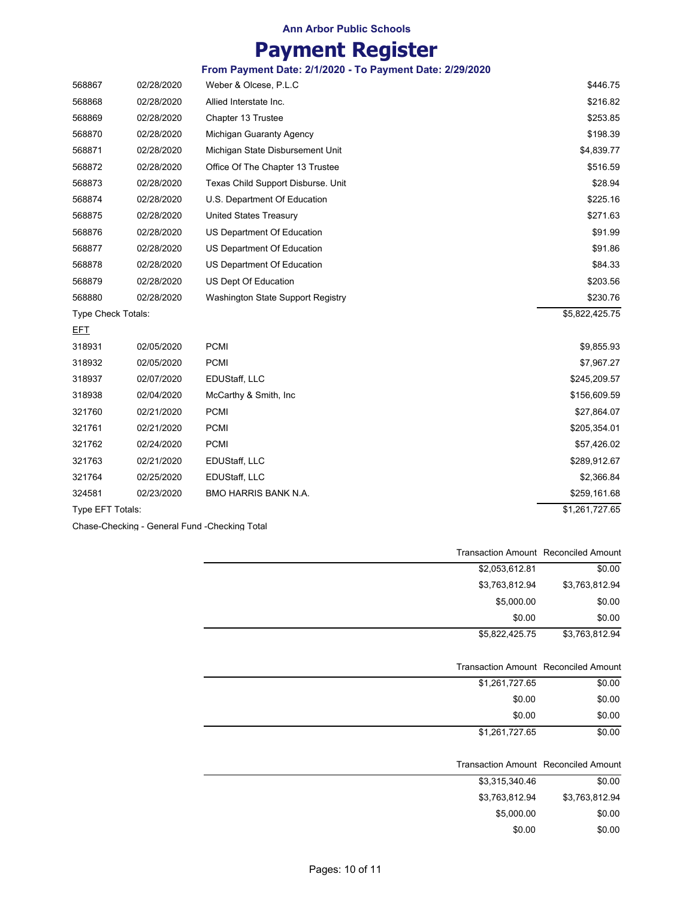# **Payment Register**

**From Payment Date: 2/1/2020 - To Payment Date: 2/29/2020**

| 568867             | 02/28/2020 | Weber & Olcese, P.L.C              | \$446.75       |
|--------------------|------------|------------------------------------|----------------|
| 568868             | 02/28/2020 | Allied Interstate Inc.             | \$216.82       |
| 568869             | 02/28/2020 | Chapter 13 Trustee                 | \$253.85       |
| 568870             | 02/28/2020 | Michigan Guaranty Agency           | \$198.39       |
| 568871             | 02/28/2020 | Michigan State Disbursement Unit   | \$4,839.77     |
| 568872             | 02/28/2020 | Office Of The Chapter 13 Trustee   | \$516.59       |
| 568873             | 02/28/2020 | Texas Child Support Disburse. Unit | \$28.94        |
| 568874             | 02/28/2020 | U.S. Department Of Education       | \$225.16       |
| 568875             | 02/28/2020 | <b>United States Treasury</b>      | \$271.63       |
| 568876             | 02/28/2020 | US Department Of Education         | \$91.99        |
| 568877             | 02/28/2020 | US Department Of Education         | \$91.86        |
| 568878             | 02/28/2020 | US Department Of Education         | \$84.33        |
| 568879             | 02/28/2020 | US Dept Of Education               | \$203.56       |
| 568880             | 02/28/2020 | Washington State Support Registry  | \$230.76       |
| Type Check Totals: |            |                                    | \$5,822,425.75 |
| EFT                |            |                                    |                |
| 318931             | 02/05/2020 | <b>PCMI</b>                        | \$9,855.93     |
| 318932             | 02/05/2020 | <b>PCMI</b>                        | \$7,967.27     |
| 318937             | 02/07/2020 | EDUStaff, LLC                      | \$245,209.57   |
| 318938             | 02/04/2020 | McCarthy & Smith, Inc.             | \$156,609.59   |
| 321760             | 02/21/2020 | <b>PCMI</b>                        | \$27,864.07    |
| 321761             | 02/21/2020 | <b>PCMI</b>                        | \$205,354.01   |
| 321762             | 02/24/2020 | <b>PCMI</b>                        | \$57,426.02    |
| 321763             | 02/21/2020 | EDUStaff, LLC                      | \$289,912.67   |
| 321764             | 02/25/2020 | EDUStaff, LLC                      | \$2,366.84     |
| 324581             | 02/23/2020 | BMO HARRIS BANK N.A.               | \$259,161.68   |
| Type EFT Totals:   |            |                                    | \$1,261,727.65 |

Chase-Checking - General Fund -Checking Total

|                | <b>Transaction Amount Reconciled Amount</b> |
|----------------|---------------------------------------------|
| \$0.00         | \$2,053,612.81                              |
| \$3,763,812.94 | \$3,763,812.94                              |
| \$0.00         | \$5,000.00                                  |
| \$0.00         | \$0.00                                      |
| \$3,763,812.94 | \$5,822,425.75                              |
|                |                                             |
|                | <b>Transaction Amount Reconciled Amount</b> |
| \$0.00         | \$1,261,727.65                              |
| \$0.00         | \$0.00                                      |
| \$0.00         | \$0.00                                      |
| \$0.00         | \$1,261,727.65                              |
|                |                                             |
|                | <b>Transaction Amount Reconciled Amount</b> |
| \$0.00         | \$3,315,340.46                              |
| \$3,763,812.94 | \$3,763,812.94                              |
| \$0.00         | \$5,000.00                                  |
| \$0.00         | \$0.00                                      |
|                |                                             |